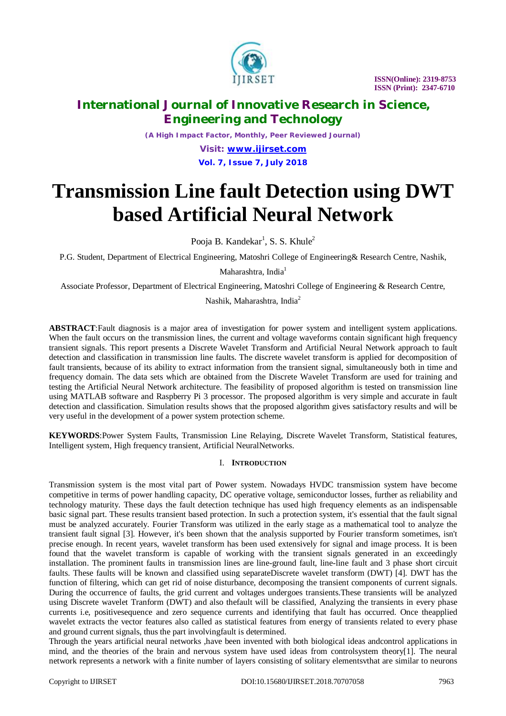

 **ISSN(Online): 2319-8753 ISSN (Print): 2347-6710**

### **International Journal of Innovative Research in Science, Engineering and Technology**

*(A High Impact Factor, Monthly, Peer Reviewed Journal) Visit: [www.ijirset.com](http://www.ijirset.com)* **Vol. 7, Issue 7, July 2018**

# **Transmission Line fault Detection using DWT based Artificial Neural Network**

Pooja B. Kandekar<sup>1</sup>, S. S. Khule<sup>2</sup>

P.G. Student, Department of Electrical Engineering, Matoshri College of Engineering& Research Centre, Nashik,

Maharashtra, India<sup>1</sup>

Associate Professor, Department of Electrical Engineering, Matoshri College of Engineering & Research Centre,

Nashik, Maharashtra, India<sup>2</sup>

**ABSTRACT**:Fault diagnosis is a major area of investigation for power system and intelligent system applications. When the fault occurs on the transmission lines, the current and voltage waveforms contain significant high frequency transient signals. This report presents a Discrete Wavelet Transform and Artificial Neural Network approach to fault detection and classification in transmission line faults. The discrete wavelet transform is applied for decomposition of fault transients, because of its ability to extract information from the transient signal, simultaneously both in time and frequency domain. The data sets which are obtained from the Discrete Wavelet Transform are used for training and testing the Artificial Neural Network architecture. The feasibility of proposed algorithm is tested on transmission line using MATLAB software and Raspberry Pi 3 processor. The proposed algorithm is very simple and accurate in fault detection and classification. Simulation results shows that the proposed algorithm gives satisfactory results and will be very useful in the development of a power system protection scheme.

**KEYWORDS**:Power System Faults, Transmission Line Relaying, Discrete Wavelet Transform, Statistical features, Intelligent system, High frequency transient, Artificial NeuralNetworks.

#### I. **INTRODUCTION**

Transmission system is the most vital part of Power system. Nowadays HVDC transmission system have become competitive in terms of power handling capacity, DC operative voltage, semiconductor losses, further as reliability and technology maturity. These days the fault detection technique has used high frequency elements as an indispensable basic signal part. These results transient based protection. In such a protection system, it's essential that the fault signal must be analyzed accurately. Fourier Transform was utilized in the early stage as a mathematical tool to analyze the transient fault signal [3]. However, it's been shown that the analysis supported by Fourier transform sometimes, isn't precise enough. In recent years, wavelet transform has been used extensively for signal and image process. It is been found that the wavelet transform is capable of working with the transient signals generated in an exceedingly installation. The prominent faults in transmission lines are line-ground fault, line-line fault and 3 phase short circuit faults. These faults will be known and classified using separateDiscrete wavelet transform (DWT) [4]. DWT has the function of filtering, which can get rid of noise disturbance, decomposing the transient components of current signals. During the occurrence of faults, the grid current and voltages undergoes transients.These transients will be analyzed using Discrete wavelet Tranform (DWT) and also thefault will be classified, Analyzing the transients in every phase currents i.e, positivesequence and zero sequence currents and identifying that fault has occurred. Once theapplied wavelet extracts the vector features also called as statistical features from energy of transients related to every phase and ground current signals, thus the part involvingfault is determined.

Through the years artificial neural networks *,*have been invented with both biological ideas andcontrol applications in mind, and the theories of the brain and nervous system have used ideas from controlsystem theory[1]. The neural network represents a network with a finite number of layers consisting of solitary elementsvthat are similar to neurons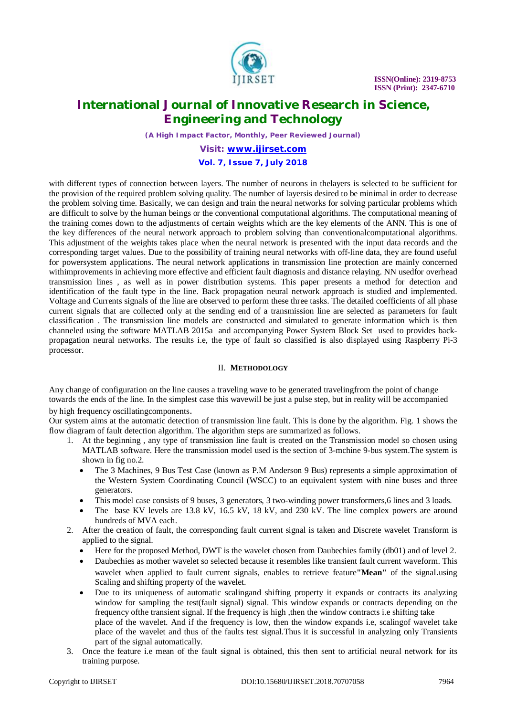

*(A High Impact Factor, Monthly, Peer Reviewed Journal)*

## *Visit: [www.ijirset.com](http://www.ijirset.com)*

**Vol. 7, Issue 7, July 2018**

with different types of connection between layers. The number of neurons in thelayers is selected to be sufficient for the provision of the required problem solving quality. The number of layersis desired to be minimal in order to decrease the problem solving time. Basically, we can design and train the neural networks for solving particular problems which are difficult to solve by the human beings or the conventional computational algorithms. The computational meaning of the training comes down to the adjustments of certain weights which are the key elements of the ANN. This is one of the key differences of the neural network approach to problem solving than conventionalcomputational algorithms. This adjustment of the weights takes place when the neural network is presented with the input data records and the corresponding target values. Due to the possibility of training neural networks with off-line data, they are found useful for powersystem applications. The neural network applications in transmission line protection are mainly concerned withimprovements in achieving more effective and efficient fault diagnosis and distance relaying. NN usedfor overhead transmission lines , as well as in power distribution systems. This paper presents a method for detection and identification of the fault type in the line. Back propagation neural network approach is studied and implemented. Voltage and Currents signals of the line are observed to perform these three tasks. The detailed coefficients of all phase current signals that are collected only at the sending end of a transmission line are selected as parameters for fault classification . The transmission line models are constructed and simulated to generate information which is then channeled using the software MATLAB 2015a and accompanying Power System Block Set used to provides backpropagation neural networks. The results i.e, the type of fault so classified is also displayed using Raspberry Pi-3 processor.

#### II. **METHODOLOGY**

Any change of configuration on the line causes a traveling wave to be generated travelingfrom the point of change towards the ends of the line. In the simplest case this wavewill be just a pulse step, but in reality will be accompanied by high frequency oscillatingcomponents.

Our system aims at the automatic detection of transmission line fault. This is done by the algorithm. Fig. 1 shows the flow diagram of fault detection algorithm. The algorithm steps are summarized as follows.

- 1. At the beginning , any type of transmission line fault is created on the Transmission model so chosen using MATLAB software. Here the transmission model used is the section of 3-mchine 9-bus system.The system is shown in fig no.2.
	- The 3 Machines, 9 Bus Test Case (known as P.M Anderson 9 Bus) represents a simple approximation of the Western System Coordinating Council (WSCC) to an equivalent system with nine buses and three generators.
	- This model case consists of 9 buses, 3 generators, 3 two-winding power transformers,6 lines and 3 loads.
	- The base KV levels are 13.8 kV, 16.5 kV, 18 kV, and 230 kV. The line complex powers are around hundreds of MVA each.
- 2. After the creation of fault, the corresponding fault current signal is taken and Discrete wavelet Transform is applied to the signal.
	- Here for the proposed Method, DWT is the wavelet chosen from Daubechies family (db01) and of level 2.
	- Daubechies as mother wavelet so selected because it resembles like transient fault current waveform. This wavelet when applied to fault current signals, enables to retrieve feature**"Mean"** of the signal.using Scaling and shifting property of the wavelet.
	- Due to its uniqueness of automatic scalingand shifting property it expands or contracts its analyzing window for sampling the test(fault signal) signal. This window expands or contracts depending on the frequency ofthe transient signal. If the frequency is high ,then the window contracts i.e shifting take place of the wavelet. And if the frequency is low, then the window expands i.e, scalingof wavelet take place of the wavelet and thus of the faults test signal.Thus it is successful in analyzing only Transients part of the signal automatically.
- 3. Once the feature i.e mean of the fault signal is obtained, this then sent to artificial neural network for its training purpose.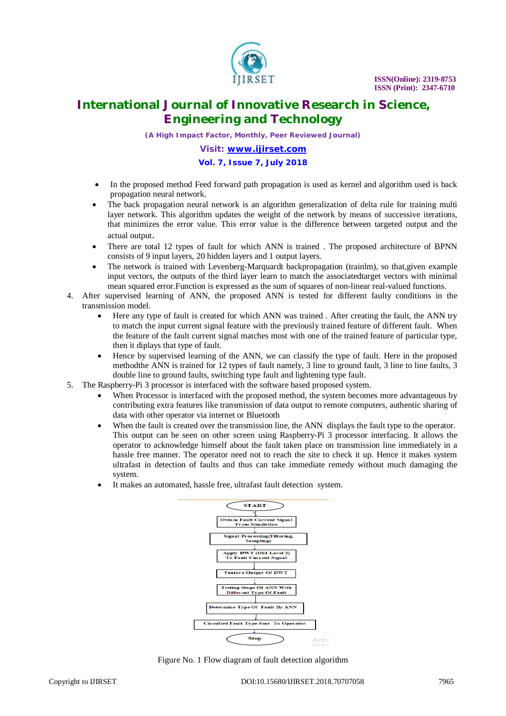

*(A High Impact Factor, Monthly, Peer Reviewed Journal)*

### *Visit: [www.ijirset.com](http://www.ijirset.com)* **Vol. 7, Issue 7, July 2018**

- In the proposed method Feed forward path propagation is used as kernel and algorithm used is back propagation neural network.
- The back propagation neural network is an algorithm generalization of delta rule for training multi layer network. This algorithm updates the weight of the network by means of successive iterations, that minimizes the error value. This error value is the difference between targeted output and the actual output.
- There are total 12 types of fault for which ANN is trained . The proposed architecture of BPNN consists of 9 input layers, 20 hidden layers and 1 output layers.
- The network is trained with Levenberg-Marquardt backpropagation (trainlm), so that,given example input vectors, the outputs of the third layer learn to match the associatedtarget vectors with minimal mean squared error.Function is expressed as the sum of squares of non-linear real-valued functions.
- 4. After supervised learning of ANN, the proposed ANN is tested for different faulty conditions in the transmission model.
	- Here any type of fault is created for which ANN was trained . After creating the fault, the ANN try to match the input current signal feature with the previously trained feature of different fault. When the feature of the fault current signal matches most with one of the trained feature of particular type, then it diplays that type of fault.
	- Hence by supervised learning of the ANN, we can classify the type of fault. Here in the proposed methodthe ANN is trained for 12 types of fault namely, 3 line to ground fault, 3 line to line faults, 3 double line to ground faults, switching type fault and lightening type fault.
- 5. The Raspberry-Pi 3 processor is interfaced with the software based proposed system.
	- When Processor is interfaced with the proposed method, the system becomes more advantageous by contributing extra features like transmission of data output to remote computers, authentic sharing of data with other operator via internet or Bluetooth
	- When the fault is created over the transmission line, the ANN displays the fault type to the operator. This output can be seen on other screen using Raspberry-Pi 3 processor interfacing. It allows the operator to acknowledge himself about the fault taken place on transmission line immediately in a hassle free manner. The operator need not to reach the site to check it up. Hence it makes system ultrafast in detection of faults and thus can take immediate remedy without much damaging the system.
	- It makes an automated, hassle free, ultrafast fault detection system.



Figure No. 1 Flow diagram of fault detection algorithm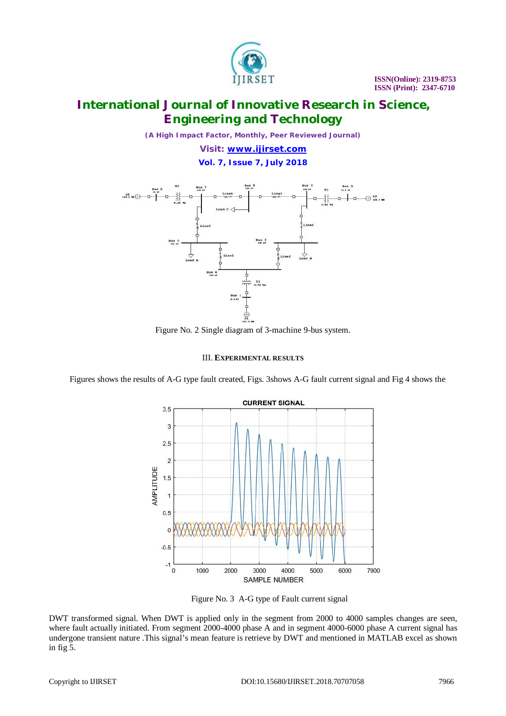

*(A High Impact Factor, Monthly, Peer Reviewed Journal)*

*Visit: [www.ijirset.com](http://www.ijirset.com)* **Vol. 7, Issue 7, July 2018**





#### III. **EXPERIMENTAL RESULTS**

Figures shows the results of A-G type fault created, Figs. 3shows A-G fault current signal and Fig 4 shows the



Figure No. 3 A-G type of Fault current signal

DWT transformed signal. When DWT is applied only in the segment from 2000 to 4000 samples changes are seen, where fault actually initiated. From segment 2000-4000 phase A and in segment 4000-6000 phase A current signal has undergone transient nature .This signal's mean feature is retrieve by DWT and mentioned in MATLAB excel as shown in fig 5.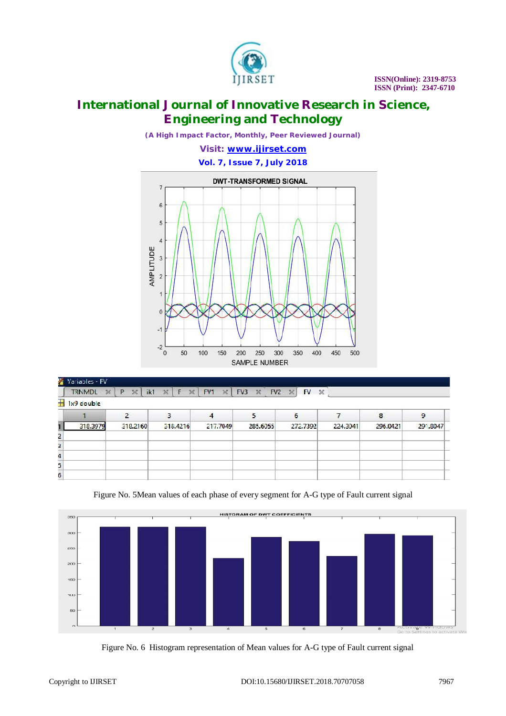

*(A High Impact Factor, Monthly, Peer Reviewed Journal)*

*Visit: [www.ijirset.com](http://www.ijirset.com)*

**Vol. 7, Issue 7, July 2018**



#### Variables

**TRNMDL** p  $\mathbb{X}$ ikl  $\times$  $F$  $\mathbb{X}$ FV1  $\times$ FV<sub>3</sub>  $\mathbb X$ FV2  $\times$  FV  $\times$  $\frac{1}{2}$  1x9 double

|   | 318.3979 | 318.2160 | 318.4216 | 217.7049 | 285.6055 | 272.7392 | 224.3041 | 296.0421 | 291,8047 |
|---|----------|----------|----------|----------|----------|----------|----------|----------|----------|
| 2 |          |          |          |          |          |          |          |          |          |
| 3 |          |          |          |          |          |          |          |          |          |
| 4 |          |          |          |          |          |          |          |          |          |
| 5 |          |          |          |          |          |          |          |          |          |
| 6 |          |          |          |          |          |          |          |          |          |



Figure No. 5Mean values of each phase of every segment for A-G type of Fault current signal

Figure No. 6 Histogram representation of Mean values for A-G type of Fault current signal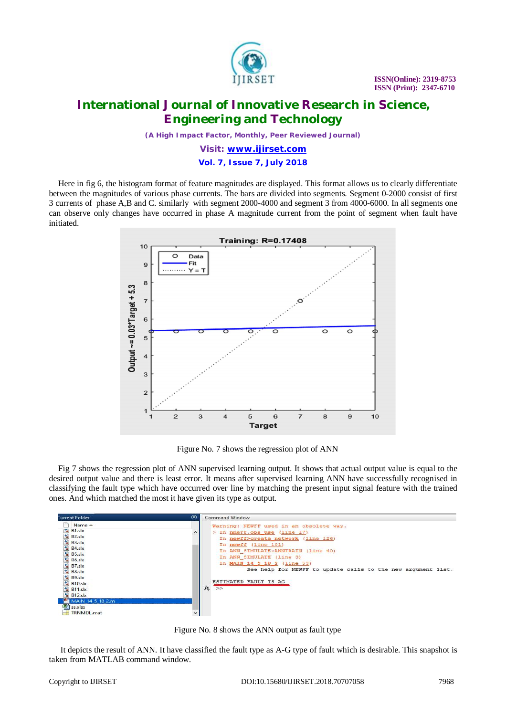

*(A High Impact Factor, Monthly, Peer Reviewed Journal)*

*Visit: [www.ijirset.com](http://www.ijirset.com)*

**Vol. 7, Issue 7, July 2018**

Here in fig 6, the histogram format of feature magnitudes are displayed. This format allows us to clearly differentiate between the magnitudes of various phase currents. The bars are divided into segments. Segment 0-2000 consist of first 3 currents of phase A,B and C. similarly with segment 2000-4000 and segment 3 from 4000-6000. In all segments one can observe only changes have occurred in phase A magnitude current from the point of segment when fault have initiated.



Figure No. 7 shows the regression plot of ANN

Fig 7 shows the regression plot of ANN supervised learning output. It shows that actual output value is equal to the desired output value and there is least error. It means after supervised learning ANN have successfully recognised in classifying the fault type which have occurred over line by matching the present input signal feature with the trained ones. And which matched the most it have given its type as output.

| Current Folder                                                                                                                                                                                                                                                                    | $\odot$<br>Command Window                                                                                                                                                                                                                                                                                                                                  |
|-----------------------------------------------------------------------------------------------------------------------------------------------------------------------------------------------------------------------------------------------------------------------------------|------------------------------------------------------------------------------------------------------------------------------------------------------------------------------------------------------------------------------------------------------------------------------------------------------------------------------------------------------------|
| Name A<br><sup>2</sup> B1.slx<br>쳅<br>B <sub>2.slx</sub><br>B <sub>3.slx</sub><br>B4.slx<br>B5.slx<br>B6.slx<br><b>B</b> B7.slx<br><b>B</b> 8.slx<br>B9.slx<br>$B10$ .slx<br>名 B11.slx<br><b>B12.slx</b><br>MAIN 14 5 18 2.m<br>$\left[\frac{1}{2}\right]$ ss.x lsx<br>TRNMDL.mat | Warning: NEWFF used in an obsolete way.<br>$>$ In nnerr.obs use (line 17)<br>In newff>create network (line 126)<br>In newff (line 101)<br>In ANN SIMULATE>ANNTRAIN (line 40)<br>In ANN SIMULATE (line 3)<br>In MAIN 14 5 18 2 (line 53)<br>See help for NEWFF to update calls to the new argument list.<br>ESTIMATED FAULT IS AG<br>$f_x$<br>$\rightarrow$ |

Figure No. 8 shows the ANN output as fault type

It depicts the result of ANN. It have classified the fault type as A-G type of fault which is desirable. This snapshot is taken from MATLAB command window.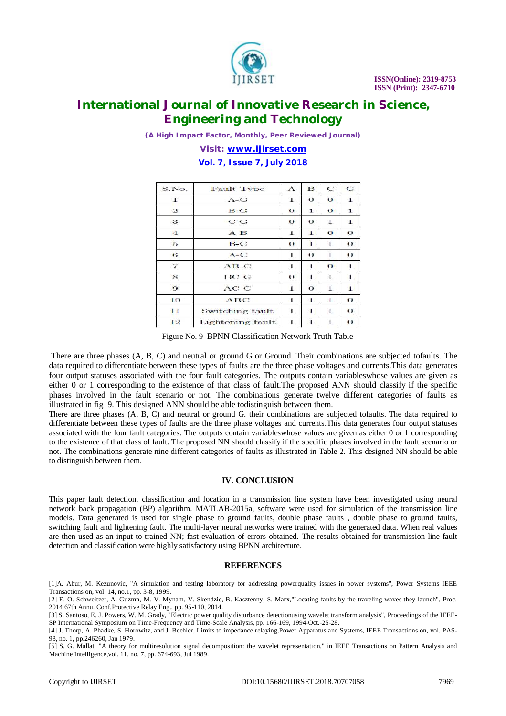

*(A High Impact Factor, Monthly, Peer Reviewed Journal)*

*Visit: [www.ijirset.com](http://www.ijirset.com)* **Vol. 7, Issue 7, July 2018**

| S.No.        | Pault Type       | $\mathbf{A}$ | B            | $\circ$      | G              |
|--------------|------------------|--------------|--------------|--------------|----------------|
| $\mathbf{L}$ | $\Lambda$ -C     | 1            | $\omega$     | $\mathbf o$  | $\mathbf{I}$   |
| $\mathbf{2}$ | $B-C$            | $\mathbf{O}$ | 1            | $\mathbf o$  | 1              |
| -3           | $C-C$            | $\mathbf{O}$ | $\Omega$     | $\perp$      | $\perp$        |
| $\mathbf{1}$ | $A \, B$         | $\perp$      | $\mathbf{1}$ | $\circ$      | $\Omega$       |
| 5.           | $B-C$            | $\mathbf{O}$ | $\mathbf{1}$ | 1            | $\mathbf{O}$   |
| 6.           | $\Lambda$ -C     | T            | $\Omega$     | T            | $\Omega$       |
| $\mathbb{Z}$ | $AB-G$           | $\perp$      | $\perp$      | $\circ$      | $\perp$        |
| 8            | BC G             | $\circ$      | $\perp$      | $\perp$      | $\perp$        |
| $\mathbf{Q}$ | ACG              | $\mathbf{1}$ | $\Omega$     | $\mathbf{1}$ | $\blacksquare$ |
| 10           | ABC              | $\mathbf{I}$ | $\mathbf{I}$ | $\mathbf{I}$ | Ð              |
| $\perp$      | Switching fault  | $\perp$      | $\mathbf{I}$ | T            | $\Omega$       |
| 12           | Lightening fault | $\perp$      | $\mathbf{1}$ | $\mathbf{1}$ | $\Omega$       |

Figure No. 9 BPNN Classification Network Truth Table

There are three phases (A, B, C) and neutral or ground G or Ground. Their combinations are subjected tofaults. The data required to differentiate between these types of faults are the three phase voltages and currents.This data generates four output statuses associated with the four fault categories. The outputs contain variableswhose values are given as either 0 or 1 corresponding to the existence of that class of fault.The proposed ANN should classify if the specific phases involved in the fault scenario or not. The combinations generate twelve different categories of faults as illustrated in fig 9. This designed ANN should be able todistinguish between them.

There are three phases (A, B, C) and neutral or ground G. their combinations are subjected tofaults. The data required to differentiate between these types of faults are the three phase voltages and currents.This data generates four output statuses associated with the four fault categories. The outputs contain variableswhose values are given as either 0 or 1 corresponding to the existence of that class of fault. The proposed NN should classify if the specific phases involved in the fault scenario or not. The combinations generate nine different categories of faults as illustrated in Table 2. This designed NN should be able to distinguish between them.

#### **IV. CONCLUSION**

This paper fault detection, classification and location in a transmission line system have been investigated using neural network back propagation (BP) algorithm. MATLAB-2015a, software were used for simulation of the transmission line models. Data generated is used for single phase to ground faults, double phase faults , double phase to ground faults, switching fault and lightening fault. The multi-layer neural networks were trained with the generated data. When real values are then used as an input to trained NN; fast evaluation of errors obtained. The results obtained for transmission line fault detection and classification were highly satisfactory using BPNN architecture.

#### **REFERENCES**

[1]A. Abur, M. Kezunovic, "A simulation and testing laboratory for addressing powerquality issues in power systems", Power Systems IEEE Transactions on, vol. 14, no.1, pp. 3-8, 1999.

[5] S. G. Mallat, "A theory for multiresolution signal decomposition: the wavelet representation," in IEEE Transactions on Pattern Analysis and Machine Intelligence,vol. 11, no. 7, pp. 674-693, Jul 1989.

<sup>[2]</sup> E. O. Schweitzer, A. Guzmn, M. V. Mynam, V. Skendzic, B. Kasztenny, S. Marx,"Locating faults by the traveling waves they launch", Proc. 2014 67th Annu. Conf.Protective Relay Eng., pp. 95-110, 2014.

<sup>[3]</sup> S. Santoso, E. J. Powers, W. M. Grady, "Electric power quality disturbance detectionusing wavelet transform analysis", Proceedings of the IEEE-SP International Symposium on Time-Frequency and Time-Scale Analysis, pp. 166-169, 1994-Oct.-25-28.

<sup>[4]</sup> J. Thorp, A. Phadke, S. Horowitz, and J. Beehler, Limits to impedance relaying,Power Apparatus and Systems, IEEE Transactions on, vol. PAS-98, no. 1, pp.246260, Jan 1979.